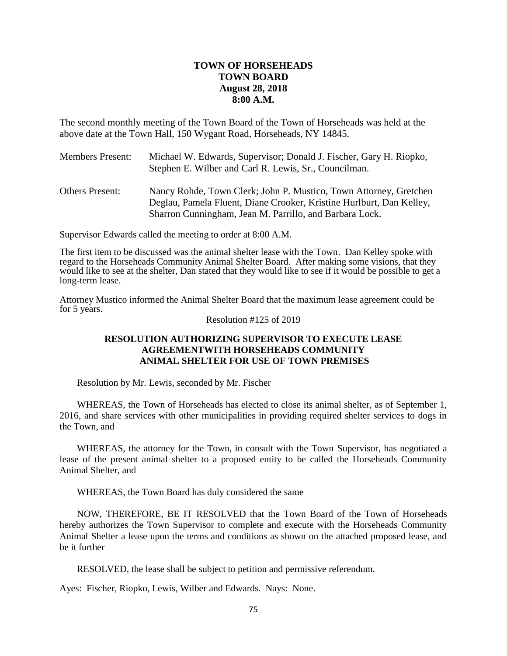# **TOWN OF HORSEHEADS TOWN BOARD August 28, 2018 8:00 A.M.**

The second monthly meeting of the Town Board of the Town of Horseheads was held at the above date at the Town Hall, 150 Wygant Road, Horseheads, NY 14845.

| <b>Members Present:</b> | Michael W. Edwards, Supervisor; Donald J. Fischer, Gary H. Riopko,<br>Stephen E. Wilber and Carl R. Lewis, Sr., Councilman.               |
|-------------------------|-------------------------------------------------------------------------------------------------------------------------------------------|
| <b>Others Present:</b>  | Nancy Rohde, Town Clerk; John P. Mustico, Town Attorney, Gretchen<br>Deglau, Pamela Fluent, Diane Crooker, Kristine Hurlburt, Dan Kelley, |
|                         | Sharron Cunningham, Jean M. Parrillo, and Barbara Lock.                                                                                   |

Supervisor Edwards called the meeting to order at 8:00 A.M.

The first item to be discussed was the animal shelter lease with the Town. Dan Kelley spoke with regard to the Horseheads Community Animal Shelter Board. After making some visions, that they would like to see at the shelter, Dan stated that they would like to see if it would be possible to get a long-term lease.

Attorney Mustico informed the Animal Shelter Board that the maximum lease agreement could be for 5 years.

#### Resolution #125 of 2019

## **RESOLUTION AUTHORIZING SUPERVISOR TO EXECUTE LEASE AGREEMENTWITH HORSEHEADS COMMUNITY ANIMAL SHELTER FOR USE OF TOWN PREMISES**

Resolution by Mr. Lewis, seconded by Mr. Fischer

WHEREAS, the Town of Horseheads has elected to close its animal shelter, as of September 1, 2016, and share services with other municipalities in providing required shelter services to dogs in the Town, and

WHEREAS, the attorney for the Town, in consult with the Town Supervisor, has negotiated a lease of the present animal shelter to a proposed entity to be called the Horseheads Community Animal Shelter, and

WHEREAS, the Town Board has duly considered the same

NOW, THEREFORE, BE IT RESOLVED that the Town Board of the Town of Horseheads hereby authorizes the Town Supervisor to complete and execute with the Horseheads Community Animal Shelter a lease upon the terms and conditions as shown on the attached proposed lease, and be it further

RESOLVED, the lease shall be subject to petition and permissive referendum.

Ayes: Fischer, Riopko, Lewis, Wilber and Edwards. Nays: None.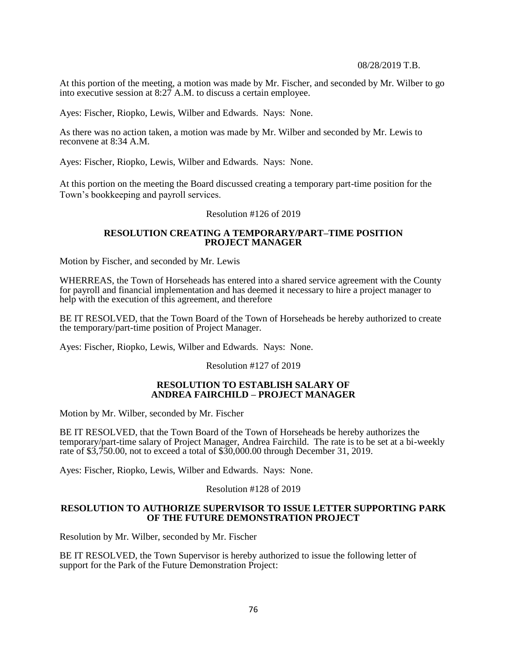#### 08/28/2019 T.B.

At this portion of the meeting, a motion was made by Mr. Fischer, and seconded by Mr. Wilber to go into executive session at 8:27 A.M. to discuss a certain employee.

Ayes: Fischer, Riopko, Lewis, Wilber and Edwards. Nays: None.

As there was no action taken, a motion was made by Mr. Wilber and seconded by Mr. Lewis to reconvene at 8:34 A.M.

Ayes: Fischer, Riopko, Lewis, Wilber and Edwards. Nays: None.

At this portion on the meeting the Board discussed creating a temporary part-time position for the Town's bookkeeping and payroll services.

#### Resolution #126 of 2019

## **RESOLUTION CREATING A TEMPORARY/PART–TIME POSITION PROJECT MANAGER**

Motion by Fischer, and seconded by Mr. Lewis

WHERREAS, the Town of Horseheads has entered into a shared service agreement with the County for payroll and financial implementation and has deemed it necessary to hire a project manager to help with the execution of this agreement, and therefore

BE IT RESOLVED, that the Town Board of the Town of Horseheads be hereby authorized to create the temporary/part-time position of Project Manager.

Ayes: Fischer, Riopko, Lewis, Wilber and Edwards. Nays: None.

Resolution #127 of 2019

### **RESOLUTION TO ESTABLISH SALARY OF ANDREA FAIRCHILD – PROJECT MANAGER**

Motion by Mr. Wilber, seconded by Mr. Fischer

BE IT RESOLVED, that the Town Board of the Town of Horseheads be hereby authorizes the temporary/part-time salary of Project Manager, Andrea Fairchild. The rate is to be set at a bi-weekly rate of  $$3,750.00$ , not to exceed a total of  $$30,000.00$  through December 31, 2019.

Ayes: Fischer, Riopko, Lewis, Wilber and Edwards. Nays: None.

## Resolution #128 of 2019

## **RESOLUTION TO AUTHORIZE SUPERVISOR TO ISSUE LETTER SUPPORTING PARK OF THE FUTURE DEMONSTRATION PROJECT**

Resolution by Mr. Wilber, seconded by Mr. Fischer

BE IT RESOLVED, the Town Supervisor is hereby authorized to issue the following letter of support for the Park of the Future Demonstration Project: